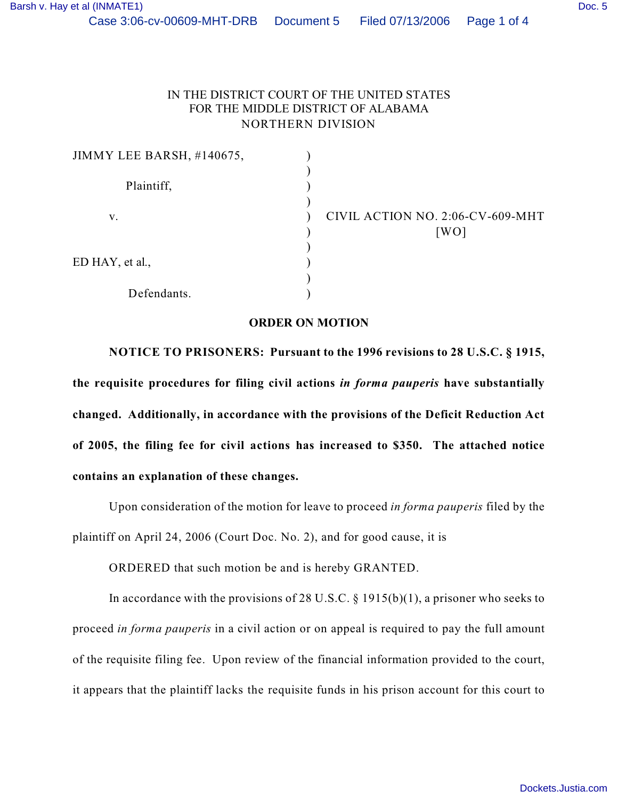## IN THE DISTRICT COURT OF THE UNITED STATES FOR THE MIDDLE DISTRICT OF ALABAMA NORTHERN DIVISION

| JIMMY LEE BARSH, #140675, |                                          |
|---------------------------|------------------------------------------|
| Plaintiff,                |                                          |
| v.                        | CIVIL ACTION NO. 2:06-CV-609-MHT<br>[WO] |
| ED HAY, et al.,           |                                          |
| Defendants.               |                                          |

## **ORDER ON MOTION**

**NOTICE TO PRISONERS: Pursuant to the 1996 revisions to 28 U.S.C. § 1915, the requisite procedures for filing civil actions** *in forma pauperis* **have substantially changed. Additionally, in accordance with the provisions of the Deficit Reduction Act of 2005, the filing fee for civil actions has increased to \$350. The attached notice contains an explanation of these changes.**

Upon consideration of the motion for leave to proceed *in forma pauperis* filed by the plaintiff on April 24, 2006 (Court Doc. No. 2), and for good cause, it is

ORDERED that such motion be and is hereby GRANTED.

In accordance with the provisions of 28 U.S.C.  $\S$  1915(b)(1), a prisoner who seeks to proceed *in forma pauperis* in a civil action or on appeal is required to pay the full amount of the requisite filing fee. Upon review of the financial information provided to the court, it appears that the plaintiff lacks the requisite funds in his prison account for this court to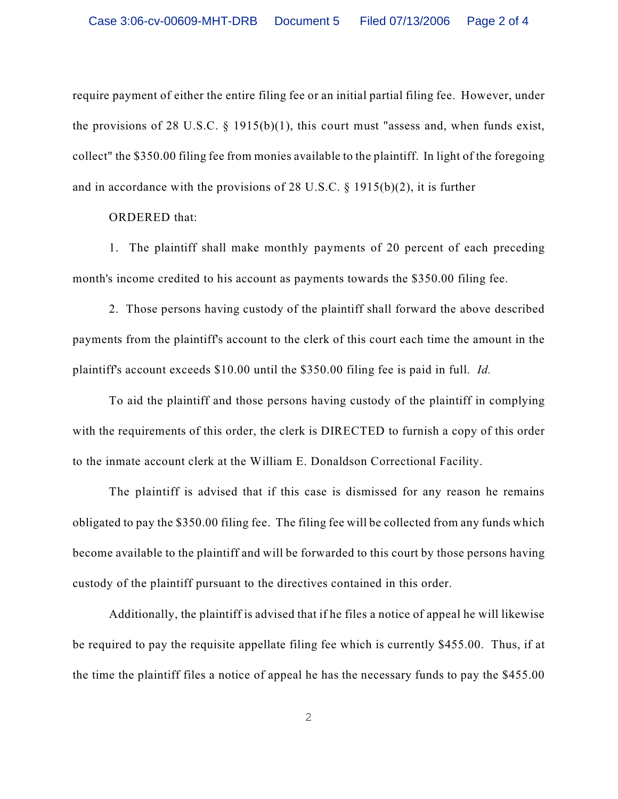require payment of either the entire filing fee or an initial partial filing fee. However, under the provisions of 28 U.S.C.  $\S$  1915(b)(1), this court must "assess and, when funds exist, collect" the \$350.00 filing fee from monies available to the plaintiff. In light of the foregoing and in accordance with the provisions of 28 U.S.C. § 1915(b)(2), it is further

ORDERED that:

1. The plaintiff shall make monthly payments of 20 percent of each preceding month's income credited to his account as payments towards the \$350.00 filing fee.

2. Those persons having custody of the plaintiff shall forward the above described payments from the plaintiff's account to the clerk of this court each time the amount in the plaintiff's account exceeds \$10.00 until the \$350.00 filing fee is paid in full. *Id.* 

To aid the plaintiff and those persons having custody of the plaintiff in complying with the requirements of this order, the clerk is DIRECTED to furnish a copy of this order to the inmate account clerk at the William E. Donaldson Correctional Facility.

The plaintiff is advised that if this case is dismissed for any reason he remains obligated to pay the \$350.00 filing fee. The filing fee will be collected from any funds which become available to the plaintiff and will be forwarded to this court by those persons having custody of the plaintiff pursuant to the directives contained in this order.

Additionally, the plaintiff is advised that if he files a notice of appeal he will likewise be required to pay the requisite appellate filing fee which is currently \$455.00. Thus, if at the time the plaintiff files a notice of appeal he has the necessary funds to pay the \$455.00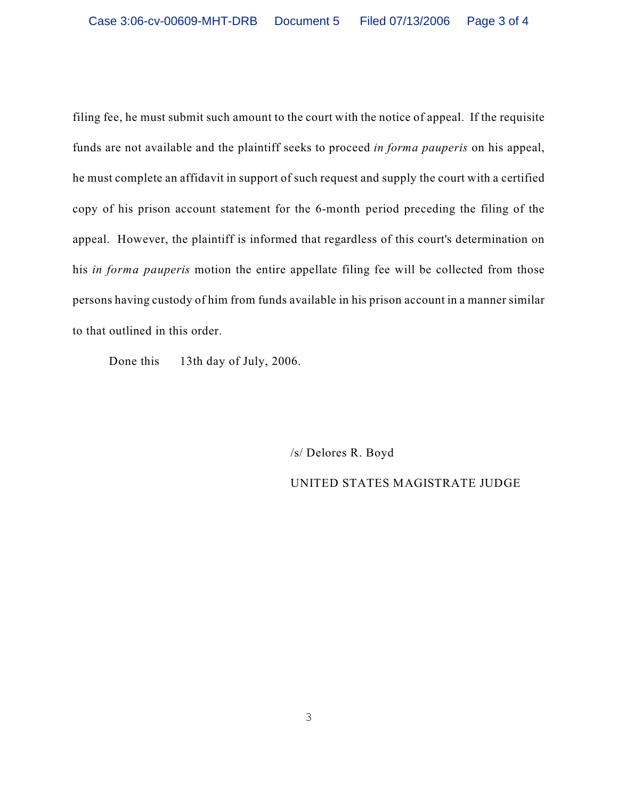filing fee, he must submit such amount to the court with the notice of appeal. If the requisite funds are not available and the plaintiff seeks to proceed *in forma pauperis* on his appeal, he must complete an affidavit in support of such request and supply the court with a certified copy of his prison account statement for the 6-month period preceding the filing of the appeal. However, the plaintiff is informed that regardless of this court's determination on his *in forma pauperis* motion the entire appellate filing fee will be collected from those persons having custody of him from funds available in his prison account in a manner similar to that outlined in this order.

Done this 13th day of July, 2006.

/s/ Delores R. Boyd UNITED STATES MAGISTRATE JUDGE